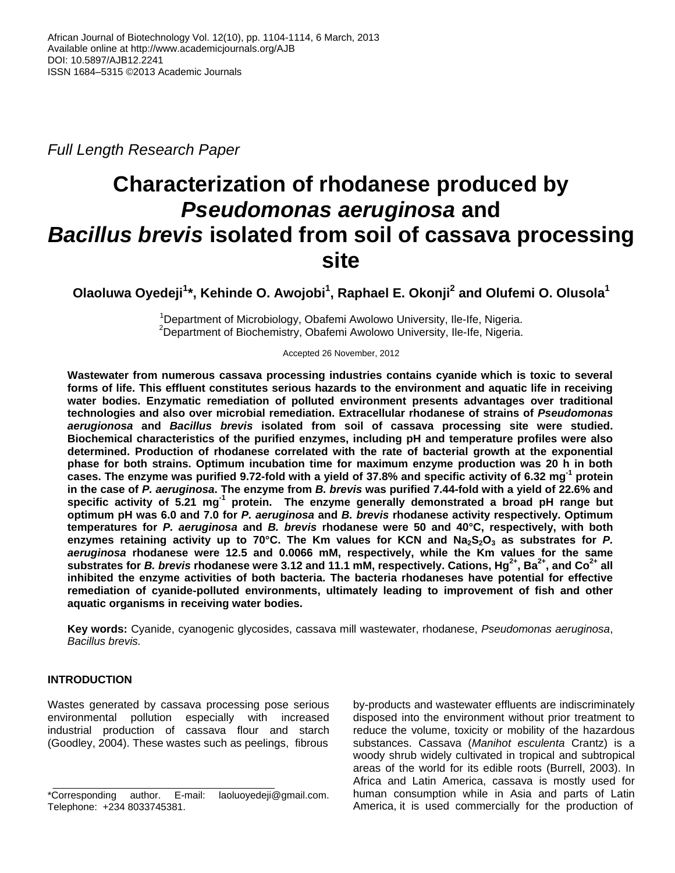*Full Length Research Paper*

# **Characterization of rhodanese produced by** *Pseudomonas aeruginosa* **and**  *Bacillus brevis* **isolated from soil of cassava processing site**

**Olaoluwa Oyedeji<sup>1</sup> \*, Kehinde O. Awojobi<sup>1</sup> , Raphael E. Okonji<sup>2</sup> and Olufemi O. Olusola<sup>1</sup>**

<sup>1</sup>Department of Microbiology, Obafemi Awolowo University, Ile-Ife, Nigeria. <sup>2</sup>Department of Biochemistry, Obafemi Awolowo University, Ile-Ife, Nigeria.

Accepted 26 November, 2012

**Wastewater from numerous cassava processing industries contains cyanide which is toxic to several forms of life. This effluent constitutes serious hazards to the environment and aquatic life in receiving water bodies. Enzymatic remediation of polluted environment presents advantages over traditional technologies and also over microbial remediation. Extracellular rhodanese of strains of** *Pseudomonas aerugionosa* **and** *Bacillus brevis* **isolated from soil of cassava processing site were studied. Biochemical characteristics of the purified enzymes, including pH and temperature profiles were also determined. Production of rhodanese correlated with the rate of bacterial growth at the exponential phase for both strains. Optimum incubation time for maximum enzyme production was 20 h in both cases. The enzyme was purified 9.72-fold with a yield of 37.8% and specific activity of 6.32 mg-1 protein in the case of** *P. aeruginosa***. The enzyme from** *B. brevis* **was purified 7.44-fold with a yield of 22.6% and**  specific activity of 5.21 mg<sup>-1</sup> protein. The enzyme generally demonstrated a broad pH range but **optimum pH was 6.0 and 7.0 for** *P. aeruginosa* **and** *B. brevis* **rhodanese activity respectively. Optimum temperatures for** *P. aeruginosa* **and** *B. brevis* **rhodanese were 50 and 40°C, respectively, with both enzymes retaining activity up to 70°C. The Km values for KCN and Na2S2O<sup>3</sup> as substrates for** *P. aeruginosa* **rhodanese were 12.5 and 0.0066 mM, respectively, while the Km values for the same substrates for** *B. brevis* **rhodanese were 3.12 and 11.1 mM, respectively. Cations, Hg2+, Ba2+ , and Co2+ all inhibited the enzyme activities of both bacteria. The bacteria rhodaneses have potential for effective remediation of cyanide-polluted environments, ultimately leading to improvement of fish and other aquatic organisms in receiving water bodies.** 

**Key words:** Cyanide, cyanogenic glycosides, cassava mill wastewater, rhodanese, *Pseudomonas aeruginosa*, *Bacillus brevis.*

## **INTRODUCTION**

Wastes generated by cassava processing pose serious environmental pollution especially with increased industrial production of cassava flour and starch (Goodley, 2004). These wastes such as peelings, fibrous

by-products and wastewater effluents are indiscriminately disposed into the environment without prior treatment to reduce the volume, toxicity or mobility of the hazardous substances. Cassava (*Manihot esculenta* Crantz) is a woody shrub widely cultivated in tropical and subtropical areas of the world for its edible roots (Burrell, 2003). In Africa and Latin America, cassava is mostly used for human consumption while in Asia and parts of Latin America, it is used commercially for the production of

<sup>\*</sup>Corresponding author. E-mail: laoluoyedeji@gmail.com. Telephone: +234 8033745381.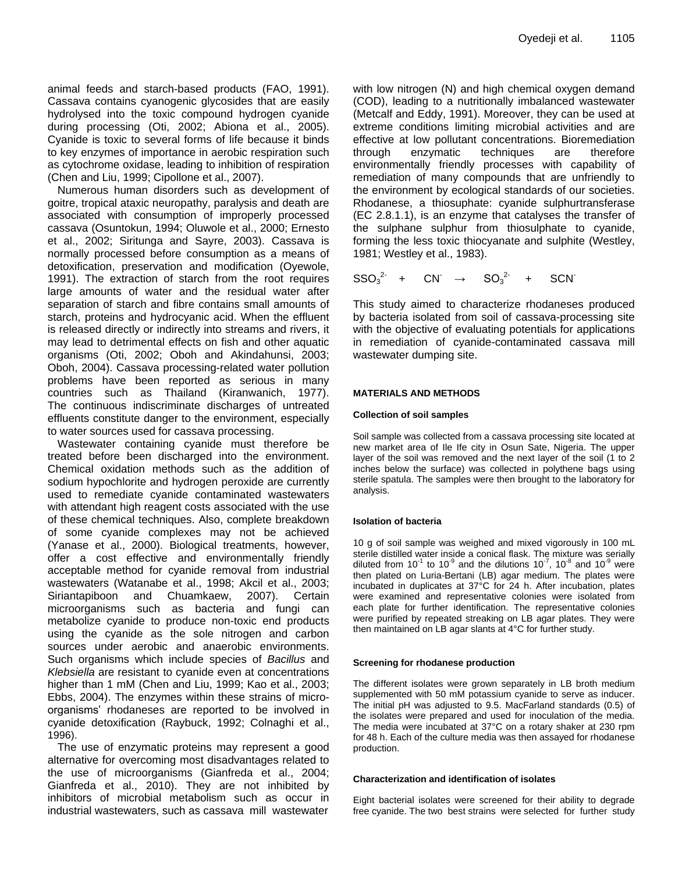animal feeds and starch-based products (FAO, 1991). Cassava contains cyanogenic glycosides that are easily hydrolysed into the toxic compound hydrogen cyanide during processing (Oti, 2002; Abiona et al., 2005). Cyanide is toxic to several forms of life because it binds to key enzymes of importance in aerobic respiration such as cytochrome oxidase, leading to inhibition of respiration (Chen and Liu, 1999; Cipollone et al., 2007).

Numerous human disorders such as development of goitre, tropical ataxic neuropathy, paralysis and death are associated with consumption of improperly processed cassava (Osuntokun, 1994; Oluwole et al., 2000; Ernesto et al., 2002; Siritunga and Sayre, 2003). Cassava is normally processed before consumption as a means of detoxification, preservation and modification (Oyewole, 1991). The extraction of starch from the root requires large amounts of water and the residual water after separation of starch and fibre contains small amounts of starch, proteins and hydrocyanic acid. When the effluent is released directly or indirectly into streams and rivers, it may lead to detrimental effects on fish and other aquatic organisms (Oti, 2002; Oboh and Akindahunsi, 2003; Oboh, 2004). Cassava processing-related water pollution problems have been reported as serious in many countries such as Thailand (Kiranwanich, 1977). The continuous indiscriminate discharges of untreated effluents constitute danger to the environment, especially to water sources used for cassava processing.

Wastewater containing cyanide must therefore be treated before been discharged into the environment. Chemical oxidation methods such as the addition of sodium hypochlorite and hydrogen peroxide are currently used to remediate cyanide contaminated wastewaters with attendant high reagent costs associated with the use of these chemical techniques. Also, complete breakdown of some cyanide complexes may not be achieved (Yanase et al., 2000). Biological treatments, however, offer a cost effective and environmentally friendly acceptable method for cyanide removal from industrial wastewaters (Watanabe et al., 1998; Akcil et al., 2003; Siriantapiboon and Chuamkaew, 2007). Certain microorganisms such as bacteria and fungi can metabolize cyanide to produce non-toxic end products using the cyanide as the sole nitrogen and carbon sources under aerobic and anaerobic environments. Such organisms which include species of *Bacillus* and *Klebsiella* are resistant to cyanide even at concentrations higher than 1 mM (Chen and Liu, 1999; Kao et al., 2003; Ebbs, 2004). The enzymes within these strains of microorganisms' rhodaneses are reported to be involved in cyanide detoxification (Raybuck, 1992; Colnaghi et al., 1996).

The use of enzymatic proteins may represent a good alternative for overcoming most disadvantages related to the use of microorganisms (Gianfreda et al., 2004; Gianfreda et al., 2010). They are not inhibited by inhibitors of microbial metabolism such as occur in industrial wastewaters, such as cassava mill wastewater

with low nitrogen (N) and high chemical oxygen demand (COD), leading to a nutritionally imbalanced wastewater (Metcalf and Eddy, 1991). Moreover, they can be used at extreme conditions limiting microbial activities and are effective at low pollutant concentrations. Bioremediation through enzymatic techniques are therefore environmentally friendly processes with capability of remediation of many compounds that are unfriendly to the environment by ecological standards of our societies. Rhodanese, a thiosuphate: cyanide sulphurtransferase (EC 2.8.1.1), is an enzyme that catalyses the transfer of the sulphane sulphur from thiosulphate to cyanide, forming the less toxic thiocyanate and sulphite (Westley, 1981; Westley et al., 1983).

$$
SSO_3^{2-} + CN \rightarrow SO_3^{2-} + SCN
$$

This study aimed to characterize rhodaneses produced by bacteria isolated from soil of cassava-processing site with the objective of evaluating potentials for applications in remediation of cyanide-contaminated cassava mill wastewater dumping site.

## **MATERIALS AND METHODS**

## **Collection of soil samples**

Soil sample was collected from a cassava processing site located at new market area of Ile Ife city in Osun Sate, Nigeria. The upper layer of the soil was removed and the next layer of the soil (1 to 2 inches below the surface) was collected in polythene bags using sterile spatula. The samples were then brought to the laboratory for analysis.

## **Isolation of bacteria**

10 g of soil sample was weighed and mixed vigorously in 100 mL sterile distilled water inside a conical flask. The mixture was serially diluted from 10<sup>-1</sup> to 10<sup>-9</sup> and the dilutions 10<sup>-7</sup>, 10<sup>-8</sup> and 10<sup>-9</sup> were then plated on Luria-Bertani (LB) agar medium. The plates were incubated in duplicates at 37°C for 24 h. After incubation, plates were examined and representative colonies were isolated from each plate for further identification. The representative colonies were purified by repeated streaking on LB agar plates. They were then maintained on LB agar slants at 4°C for further study.

## **Screening for rhodanese production**

The different isolates were grown separately in LB broth medium supplemented with 50 mM potassium cyanide to serve as inducer. The initial pH was adjusted to 9.5. MacFarland standards (0.5) of the isolates were prepared and used for inoculation of the media. The media were incubated at 37°C on a rotary shaker at 230 rpm for 48 h. Each of the culture media was then assayed for rhodanese production.

## **Characterization and identification of isolates**

Eight bacterial isolates were screened for their ability to degrade free cyanide. The two best strains were selected for further study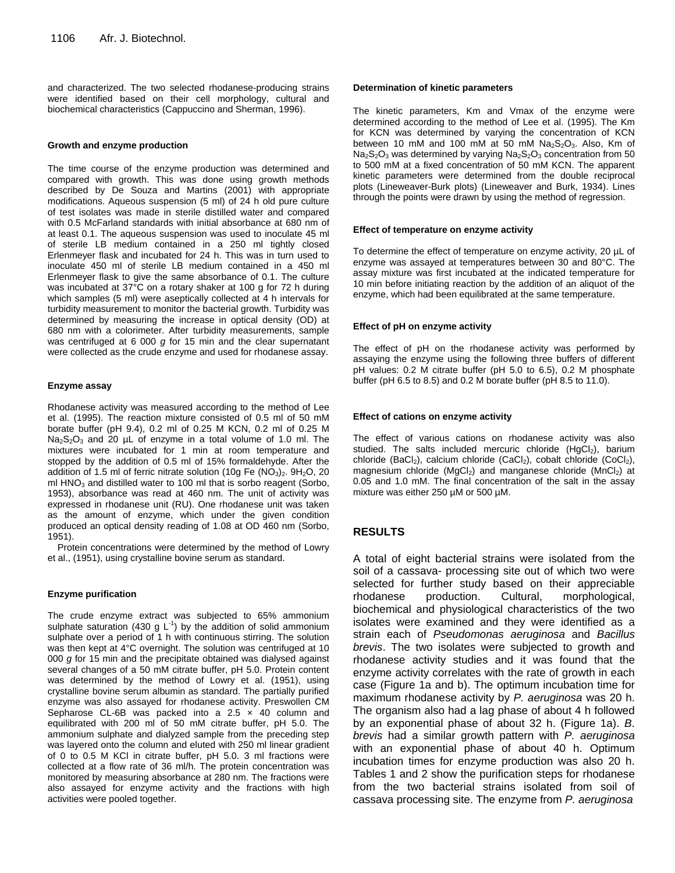and characterized. The two selected rhodanese-producing strains were identified based on their cell morphology, cultural and biochemical characteristics (Cappuccino and Sherman, 1996).

#### **Growth and enzyme production**

The time course of the enzyme production was determined and compared with growth. This was done using growth methods described by De Souza and Martins (2001) with appropriate modifications. Aqueous suspension (5 ml) of 24 h old pure culture of test isolates was made in sterile distilled water and compared with 0.5 McFarland standards with initial absorbance at 680 nm of at least 0.1. The aqueous suspension was used to inoculate 45 ml of sterile LB medium contained in a 250 ml tightly closed Erlenmeyer flask and incubated for 24 h. This was in turn used to inoculate 450 ml of sterile LB medium contained in a 450 ml Erlenmeyer flask to give the same absorbance of 0.1. The culture was incubated at 37°C on a rotary shaker at 100 g for 72 h during which samples (5 ml) were aseptically collected at 4 h intervals for turbidity measurement to monitor the bacterial growth. Turbidity was determined by measuring the increase in optical density (OD) at 680 nm with a colorimeter. After turbidity measurements, sample was centrifuged at 6 000 *g* for 15 min and the clear supernatant were collected as the crude enzyme and used for rhodanese assay.

#### **Enzyme assay**

Rhodanese activity was measured according to the method of Lee et al. (1995). The reaction mixture consisted of 0.5 ml of 50 mM borate buffer (pH 9.4), 0.2 ml of 0.25 M KCN, 0.2 ml of 0.25 M  $Na<sub>2</sub>S<sub>2</sub>O<sub>3</sub>$  and 20 µL of enzyme in a total volume of 1.0 ml. The mixtures were incubated for 1 min at room temperature and stopped by the addition of 0.5 ml of 15% formaldehyde. After the addition of 1.5 ml of ferric nitrate solution (10g Fe (NO<sub>3</sub>)<sub>2</sub>. 9H<sub>2</sub>O, 20 ml  $HNO<sub>3</sub>$  and distilled water to 100 ml that is sorbo reagent (Sorbo, 1953), absorbance was read at 460 nm. The unit of activity was expressed in rhodanese unit (RU). One rhodanese unit was taken as the amount of enzyme, which under the given condition produced an optical density reading of 1.08 at OD 460 nm (Sorbo, 1951).

Protein concentrations were determined by the method of Lowry et al., (1951), using crystalline bovine serum as standard.

## **Enzyme purification**

The crude enzyme extract was subjected to 65% ammonium sulphate saturation (430 g  $L^{-1}$ ) by the addition of solid ammonium sulphate over a period of 1 h with continuous stirring. The solution was then kept at 4°C overnight. The solution was centrifuged at 10 000 *g* for 15 min and the precipitate obtained was dialysed against several changes of a 50 mM citrate buffer, pH 5.0. Protein content was determined by the method of Lowry et al. (1951), using crystalline bovine serum albumin as standard. The partially purified enzyme was also assayed for rhodanese activity. Preswollen CM Sepharose CL-6B was packed into a  $2.5 \times 40$  column and equilibrated with 200 ml of 50 mM citrate buffer, pH 5.0. The ammonium sulphate and dialyzed sample from the preceding step was layered onto the column and eluted with 250 ml linear gradient of 0 to 0.5 M KCl in citrate buffer, pH 5.0. 3 ml fractions were collected at a flow rate of 36 ml/h. The protein concentration was monitored by measuring absorbance at 280 nm. The fractions were also assayed for enzyme activity and the fractions with high activities were pooled together.

#### **Determination of kinetic parameters**

The kinetic parameters, Km and Vmax of the enzyme were determined according to the method of Lee et al. (1995). The Km for KCN was determined by varying the concentration of KCN between 10 mM and 100 mM at 50 mM  $Na<sub>2</sub>S<sub>2</sub>O<sub>3</sub>$ . Also, Km of  $Na<sub>2</sub>S<sub>2</sub>O<sub>3</sub>$  was determined by varying  $Na<sub>2</sub>S<sub>2</sub>O<sub>3</sub>$  concentration from 50 to 500 mM at a fixed concentration of 50 mM KCN. The apparent kinetic parameters were determined from the double reciprocal plots (Lineweaver-Burk plots) (Lineweaver and Burk, 1934). Lines through the points were drawn by using the method of regression.

#### **Effect of temperature on enzyme activity**

To determine the effect of temperature on enzyme activity, 20 µL of enzyme was assayed at temperatures between 30 and 80°C. The assay mixture was first incubated at the indicated temperature for 10 min before initiating reaction by the addition of an aliquot of the enzyme, which had been equilibrated at the same temperature.

#### **Effect of pH on enzyme activity**

The effect of pH on the rhodanese activity was performed by assaying the enzyme using the following three buffers of different pH values: 0.2 M citrate buffer (pH 5.0 to 6.5), 0.2 M phosphate buffer (pH 6.5 to 8.5) and 0.2 M borate buffer (pH 8.5 to 11.0).

#### **Effect of cations on enzyme activity**

The effect of various cations on rhodanese activity was also studied. The salts included mercuric chloride ( $HgCl<sub>2</sub>$ ), barium chloride (BaCl<sub>2</sub>), calcium chloride (CaCl<sub>2</sub>), cobalt chloride (CoCl<sub>2</sub>), magnesium chloride (MgCl<sub>2</sub>) and manganese chloride (MnCl<sub>2</sub>) at 0.05 and 1.0 mM. The final concentration of the salt in the assay mixture was either 250 µM or 500 µM.

## **RESULTS**

A total of eight bacterial strains were isolated from the soil of a cassava- processing site out of which two were selected for further study based on their appreciable rhodanese production. Cultural, morphological, biochemical and physiological characteristics of the two isolates were examined and they were identified as a strain each of *Pseudomonas aeruginosa* and *Bacillus brevis*. The two isolates were subjected to growth and rhodanese activity studies and it was found that the enzyme activity correlates with the rate of growth in each case (Figure 1a and b). The optimum incubation time for maximum rhodanese activity by *P. aeruginosa* was 20 h. The organism also had a lag phase of about 4 h followed by an exponential phase of about 32 h. (Figure 1a). *B*. *brevis* had a similar growth pattern with *P. aeruginosa* with an exponential phase of about 40 h. Optimum incubation times for enzyme production was also 20 h. Tables 1 and 2 show the purification steps for rhodanese from the two bacterial strains isolated from soil of cassava processing site. The enzyme from *P. aeruginosa*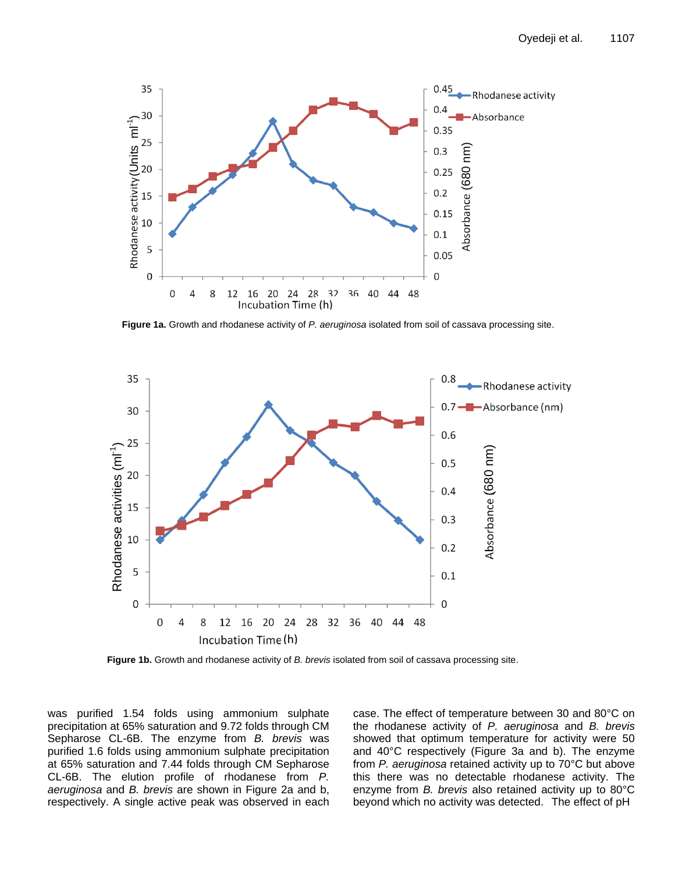

**Figure 1a.** Growth and rhodanese activity of *P. aeruginosa* isolated from soil of cassava processing site.



**Figure 1b.** Growth and rhodanese activity of *B. brevis* isolated from soil of cassava processing site.

was purified 1.54 folds using ammonium sulphate precipitation at 65% saturation and 9.72 folds through CM Sepharose CL-6B. The enzyme from *B. brevis* was purified 1.6 folds using ammonium sulphate precipitation at 65% saturation and 7.44 folds through CM Sepharose CL-6B. The elution profile of rhodanese from *P. aeruginosa* and *B. brevis* are shown in Figure 2a and b, respectively. A single active peak was observed in each

case. The effect of temperature between 30 and 80°C on the rhodanese activity of *P. aeruginosa* and *B. brevis* showed that optimum temperature for activity were 50 and 40°C respectively (Figure 3a and b). The enzyme from *P. aeruginosa* retained activity up to 70°C but above this there was no detectable rhodanese activity. The enzyme from *B. brevis* also retained activity up to 80°C beyond which no activity was detected. The effect of pH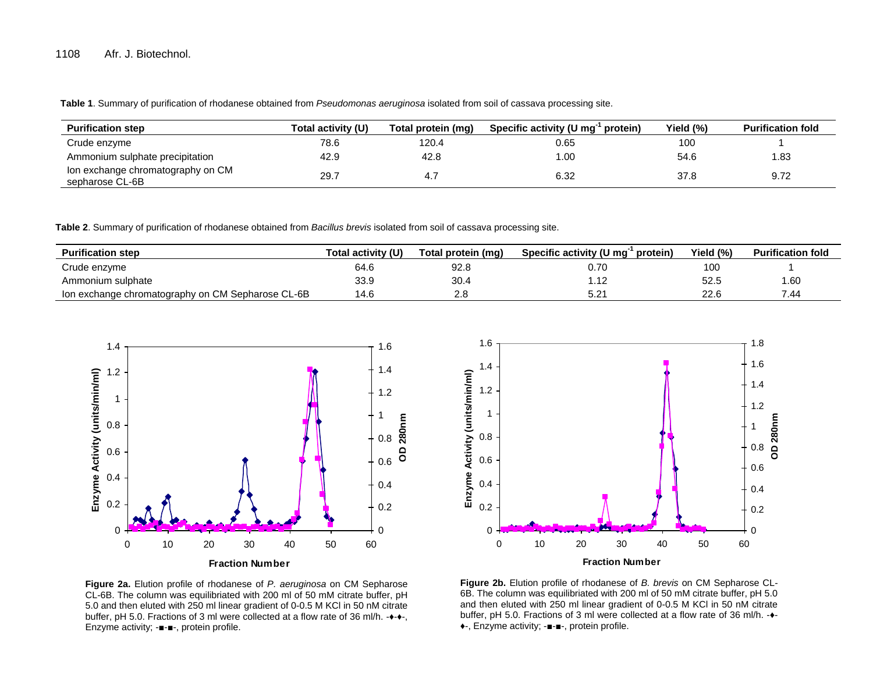**Table 1**. Summary of purification of rhodanese obtained from *Pseudomonas aeruginosa* isolated from soil of cassava processing site.

| <b>Purification step</b>                             | Total activity (U) | Total protein (mg) | Specific activity (U mg <sup>-</sup><br>protein) | Yield (%) | <b>Purification fold</b> |
|------------------------------------------------------|--------------------|--------------------|--------------------------------------------------|-----------|--------------------------|
| Crude enzyme                                         | 78.6               | 120.4              | 0.65                                             | 100       |                          |
| Ammonium sulphate precipitation                      | 42.9               | 42.8               | 00. ا                                            | 54.6      | 1.83                     |
| Ion exchange chromatography on CM<br>sepharose CL-6B | 29.7               |                    | 6.32                                             | 37.8      | 9.72                     |

**Table 2**. Summary of purification of rhodanese obtained from *Bacillus brevis* isolated from soil of cassava processing site.

| <b>Purification step</b>                          | Total activitv (U) | Total protein (mq) | Specific activity (U mg <sup>-</sup><br>protein) | Yield (%) | <b>Purification fold</b> |
|---------------------------------------------------|--------------------|--------------------|--------------------------------------------------|-----------|--------------------------|
| Crude enzyme                                      | 64.6               | 92.8               | 0.70                                             | 100       |                          |
| Ammonium sulphate                                 | 33.9               | 30.4               |                                                  | 52.5      | 1.60                     |
| Ion exchange chromatography on CM Sepharose CL-6B | 14.6               | 2.8                | $5.2^{\prime}$                                   | 22.6      | 7.44                     |





**Figure 2a.** Elution profile of rhodanese of *P. aeruginosa* on CM Sepharose CL-6B. The column was equilibriated with 200 ml of 50 mM citrate buffer, pH 5.0 and then eluted with 250 ml linear gradient of 0-0.5 M KCl in 50 nM citrate buffer, pH 5.0. Fractions of 3 ml were collected at a flow rate of 36 ml/h. -♦-♦-, Enzyme activity; -■-■-, protein profile.

**Figure 2b.** Elution profile of rhodanese of *B. brevis* on CM Sepharose CL-6B. The column was equilibriated with 200 ml of 50 mM citrate buffer, pH 5.0 and then eluted with 250 ml linear gradient of 0-0.5 M KCl in 50 nM citrate buffer, pH 5.0. Fractions of 3 ml were collected at a flow rate of 36 ml/h. -♦- ♦-, Enzyme activity; -■-■-, protein profile.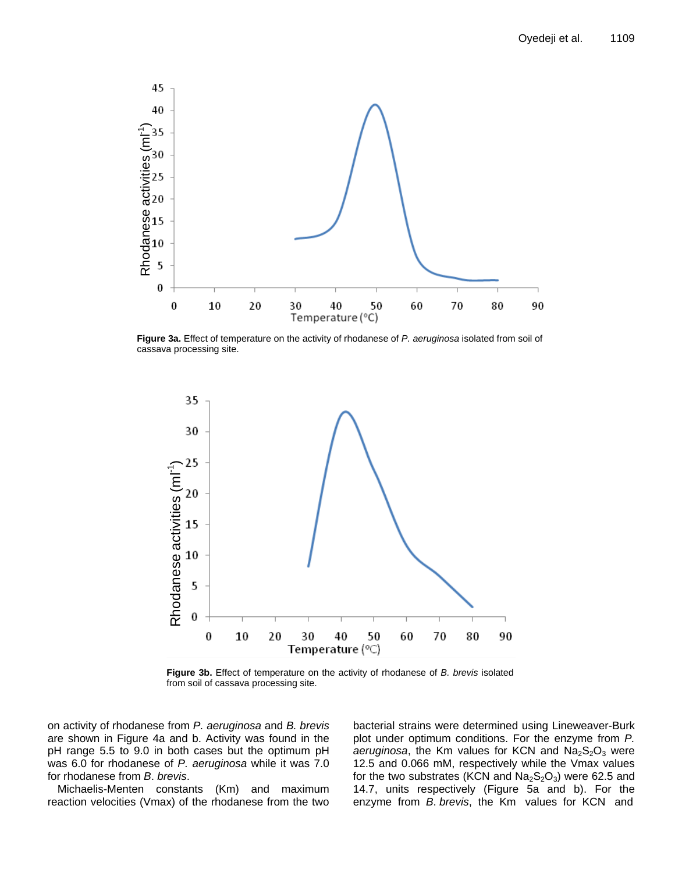

**Figure 3a.** Effect of temperature on the activity of rhodanese of *P. aeruginosa* isolated from soil of cassava processing site.



**Figure 3b.** Effect of temperature on the activity of rhodanese of *B. brevis* isolated from soil of cassava processing site.

on activity of rhodanese from *P. aeruginosa* and *B. brevis* are shown in Figure 4a and b. Activity was found in the pH range 5.5 to 9.0 in both cases but the optimum pH was 6.0 for rhodanese of *P. aeruginosa* while it was 7.0 for rhodanese from *B*. *brevis*.

Michaelis-Menten constants (Km) and maximum reaction velocities (Vmax) of the rhodanese from the two bacterial strains were determined using Lineweaver-Burk plot under optimum conditions. For the enzyme from *P.*   $a$ eruginosa, the Km values for KCN and  $Na<sub>2</sub>S<sub>2</sub>O<sub>3</sub>$  were 12.5 and 0.066 mM, respectively while the Vmax values for the two substrates (KCN and  $Na<sub>2</sub>S<sub>2</sub>O<sub>3</sub>$ ) were 62.5 and 14.7, units respectively (Figure 5a and b). For the enzyme from *B*. *brevis*, the Km values for KCN and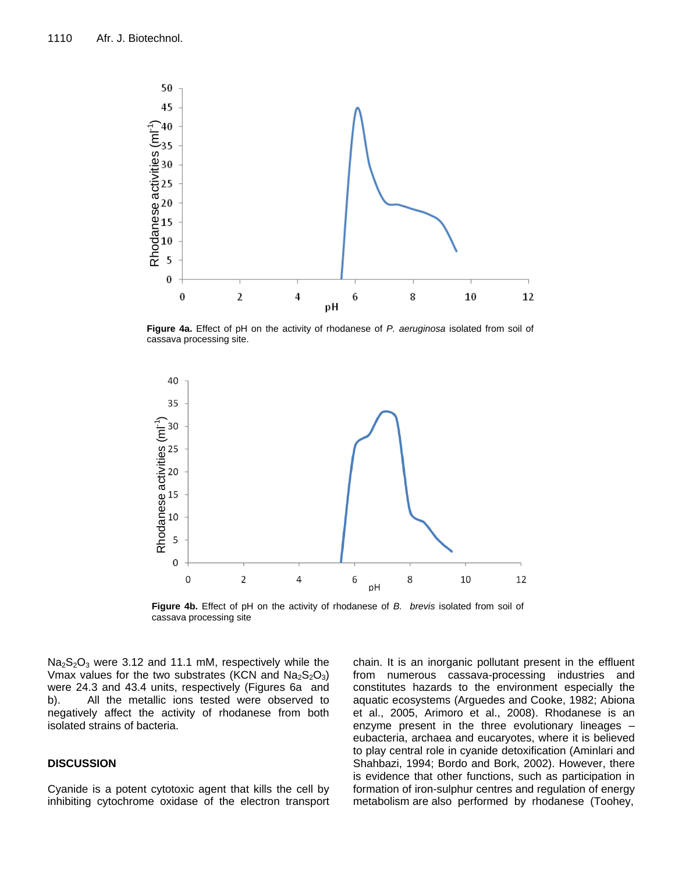

**Figure 4a.** Effect of pH on the activity of rhodanese of *P. aeruginosa* isolated from soil of cassava processing site.



**Figure 4b.** Effect of pH on the activity of rhodanese of *B. brevis* isolated from soil of cassava processing site

 $Na<sub>2</sub>S<sub>2</sub>O<sub>3</sub>$  were 3.12 and 11.1 mM, respectively while the Vmax values for the two substrates (KCN and  $Na<sub>2</sub>S<sub>2</sub>O<sub>3</sub>$ ) were 24.3 and 43.4 units, respectively (Figures 6a and b). All the metallic ions tested were observed to negatively affect the activity of rhodanese from both isolated strains of bacteria.

## **DISCUSSION**

Cyanide is a potent cytotoxic agent that kills the cell by inhibiting cytochrome oxidase of the electron transport

chain. It is an inorganic pollutant present in the effluent from numerous cassava-processing industries and constitutes hazards to the environment especially the aquatic ecosystems (Arguedes and Cooke, 1982; Abiona et al., 2005, Arimoro et al., 2008). Rhodanese is an enzyme present in the three evolutionary lineages – eubacteria, archaea and eucaryotes, where it is believed to play central role in cyanide detoxification (Aminlari and Shahbazi, 1994; Bordo and Bork, 2002). However, there is evidence that other functions, such as participation in formation of iron-sulphur centres and regulation of energy metabolism are also performed by rhodanese (Toohey,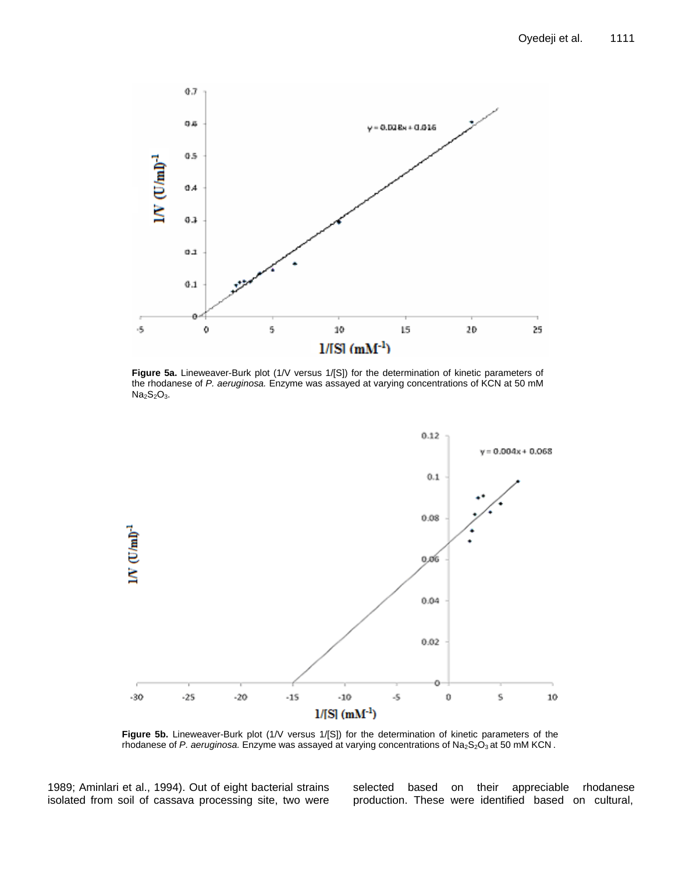

**Figure 5a.** Lineweaver-Burk plot (1/V versus 1/[S]) for the determination of kinetic parameters of the rhodanese of *P. aeruginosa.* Enzyme was assayed at varying concentrations of KCN at 50 mM  $Na<sub>2</sub>S<sub>2</sub>O<sub>3</sub>$ .



**Figure 5b.** Lineweaver-Burk plot (1/V versus 1/[S]) for the determination of kinetic parameters of the rhodanese of *P. aeruginosa.* Enzyme was assayed at varying concentrations of Na<sub>2</sub>S<sub>2</sub>O<sub>3</sub> at 50 mM KCN.

1989; Aminlari et al., 1994). Out of eight bacterial strains isolated from soil of cassava processing site, two were selected based on their appreciable rhodanese production. These were identified based on cultural,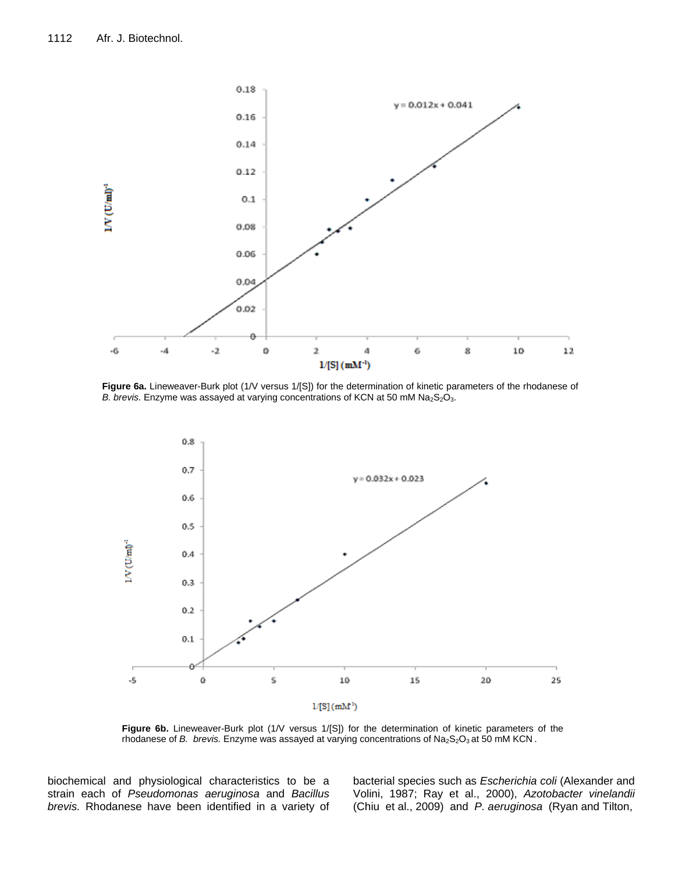

**Figure 6a.** Lineweaver-Burk plot (1/V versus 1/[S]) for the determination of kinetic parameters of the rhodanese of *B. brevis.* Enzyme was assayed at varying concentrations of KCN at 50 mM Na<sub>2</sub>S<sub>2</sub>O<sub>3</sub>.



Figure 6b. Lineweaver-Burk plot (1/V versus 1/[S]) for the determination of kinetic parameters of the rhodanese of *B. brevis.* Enzyme was assayed at varying concentrations of Na<sub>2</sub>S<sub>2</sub>O<sub>3</sub> at 50 mM KCN.

biochemical and physiological characteristics to be a strain each of *Pseudomonas aeruginosa* and *Bacillus brevis.* Rhodanese have been identified in a variety of bacterial species such as *Escherichia coli* (Alexander and Volini, 1987; Ray et al., 2000), *Azotobacter vinelandii* (Chiu et al., 2009) and *P. aeruginosa* (Ryan and Tilton,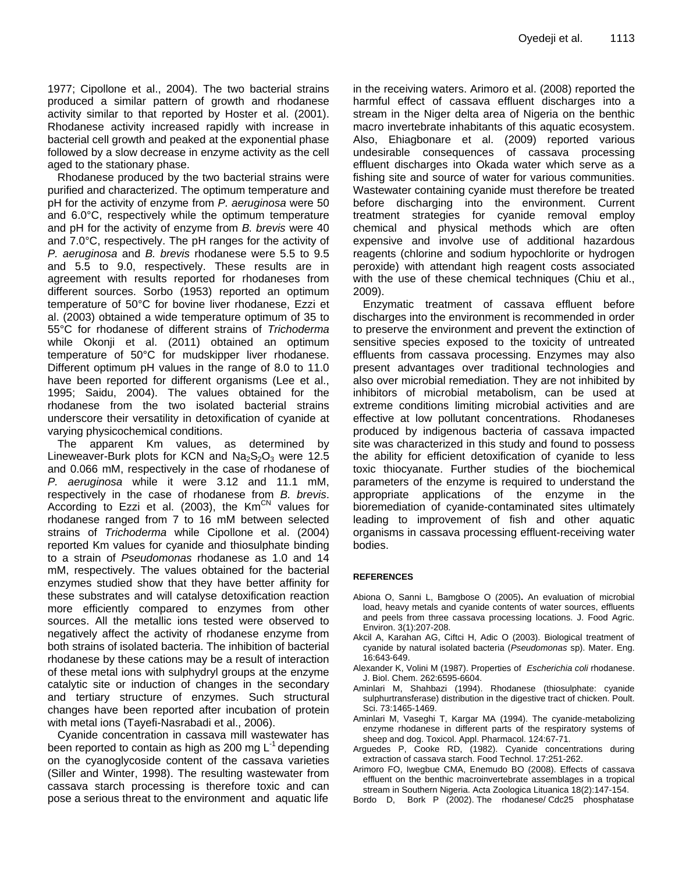1977; Cipollone et al., 2004). The two bacterial strains produced a similar pattern of growth and rhodanese activity similar to that reported by Hoster et al. (2001). Rhodanese activity increased rapidly with increase in bacterial cell growth and peaked at the exponential phase followed by a slow decrease in enzyme activity as the cell aged to the stationary phase.

Rhodanese produced by the two bacterial strains were purified and characterized. The optimum temperature and pH for the activity of enzyme from *P. aeruginosa* were 50 and 6.0°C, respectively while the optimum temperature and pH for the activity of enzyme from *B. brevis* were 40 and 7.0°C, respectively. The pH ranges for the activity of *P. aeruginosa* and *B. brevis* rhodanese were 5.5 to 9.5 and 5.5 to 9.0, respectively. These results are in agreement with results reported for rhodaneses from different sources. Sorbo (1953) reported an optimum temperature of 50°C for bovine liver rhodanese, Ezzi et al. (2003) obtained a wide temperature optimum of 35 to 55°C for rhodanese of different strains of *Trichoderma* while Okonji et al. (2011) obtained an optimum temperature of 50°C for mudskipper liver rhodanese. Different optimum pH values in the range of 8.0 to 11.0 have been reported for different organisms (Lee et al., 1995; Saidu, 2004). The values obtained for the rhodanese from the two isolated bacterial strains underscore their versatility in detoxification of cyanide at varying physicochemical conditions.

The apparent Km values, as determined by Lineweaver-Burk plots for KCN and  $Na<sub>2</sub>S<sub>2</sub>O<sub>3</sub>$  were 12.5 and 0.066 mM, respectively in the case of rhodanese of *P. aeruginosa* while it were 3.12 and 11.1 mM, respectively in the case of rhodanese from *B. brevis*. According to Ezzi et al. (2003), the  $\text{Km}^{\text{CN}}$  values for rhodanese ranged from 7 to 16 mM between selected strains of *Trichoderma* while Cipollone et al. (2004) reported Km values for cyanide and thiosulphate binding to a strain of *Pseudomonas* rhodanese as 1.0 and 14 mM, respectively. The values obtained for the bacterial enzymes studied show that they have better affinity for these substrates and will catalyse detoxification reaction more efficiently compared to enzymes from other sources. All the metallic ions tested were observed to negatively affect the activity of rhodanese enzyme from both strains of isolated bacteria. The inhibition of bacterial rhodanese by these cations may be a result of interaction of these metal ions with sulphydryl groups at the enzyme catalytic site or induction of changes in the secondary and tertiary structure of enzymes. Such structural changes have been reported after incubation of protein with metal ions (Tayefi-Nasrabadi et al., 2006).

Cyanide concentration in cassava mill wastewater has been reported to contain as high as 200 mg L $^{-1}$  depending on the cyanoglycoside content of the cassava varieties (Siller and Winter, 1998). The resulting wastewater from cassava starch processing is therefore toxic and can pose a serious threat to the environment and aquatic life

in the receiving waters. Arimoro et al. (2008) reported the harmful effect of cassava effluent discharges into a stream in the Niger delta area of Nigeria on the benthic macro invertebrate inhabitants of this aquatic ecosystem. Also, Ehiagbonare et al. (2009) reported various undesirable consequences of cassava processing effluent discharges into Okada water which serve as a fishing site and source of water for various communities. Wastewater containing cyanide must therefore be treated before discharging into the environment. Current treatment strategies for cyanide removal employ chemical and physical methods which are often expensive and involve use of additional hazardous reagents (chlorine and sodium hypochlorite or hydrogen peroxide) with attendant high reagent costs associated with the use of these chemical techniques (Chiu et al., 2009).

Enzymatic treatment of cassava effluent before discharges into the environment is recommended in order to preserve the environment and prevent the extinction of sensitive species exposed to the toxicity of untreated effluents from cassava processing. Enzymes may also present advantages over traditional technologies and also over microbial remediation. They are not inhibited by inhibitors of microbial metabolism, can be used at extreme conditions limiting microbial activities and are effective at low pollutant concentrations. Rhodaneses produced by indigenous bacteria of cassava impacted site was characterized in this study and found to possess the ability for efficient detoxification of cyanide to less toxic thiocyanate. Further studies of the biochemical parameters of the enzyme is required to understand the appropriate applications of the enzyme in the bioremediation of cyanide-contaminated sites ultimately leading to improvement of fish and other aquatic organisms in cassava processing effluent-receiving water bodies.

## **REFERENCES**

- Abiona O, Sanni L, Bamgbose O (2005)**.** An evaluation of microbial load, heavy metals and cyanide contents of water sources, effluents and peels from three cassava processing locations. J. Food Agric. Environ. 3(1):207-208.
- Akcil A, Karahan AG, Ciftci H, Adic O (2003). Biological treatment of cyanide by natural isolated bacteria (*Pseudomonas* sp). Mater. Eng. 16:643-649.
- Alexander K, Volini M (1987). Properties of *Escherichia coli* rhodanese. J. Biol. Chem. 262:6595-6604.
- Aminlari M, Shahbazi (1994). Rhodanese (thiosulphate: cyanide sulphurtransferase) distribution in the digestive tract of chicken. Poult. Sci. 73:1465-1469.
- Aminlari M, Vaseghi T, Kargar MA (1994). The cyanide-metabolizing enzyme rhodanese in different parts of the respiratory systems of sheep and dog. Toxicol. Appl. Pharmacol. 124:67-71.
- Arguedes P, Cooke RD, (1982). Cyanide concentrations during extraction of cassava starch. Food Technol. 17:251-262.
- Arimoro FO, Iwegbue CMA, Enemudo BO (2008). Effects of cassava effluent on the benthic macroinvertebrate assemblages in a tropical stream in Southern Nigeria. Acta Zoologica Lituanica 18(2):147-154.
- Bordo D, Bork P (2002). The rhodanese/ Cdc25 phosphatase